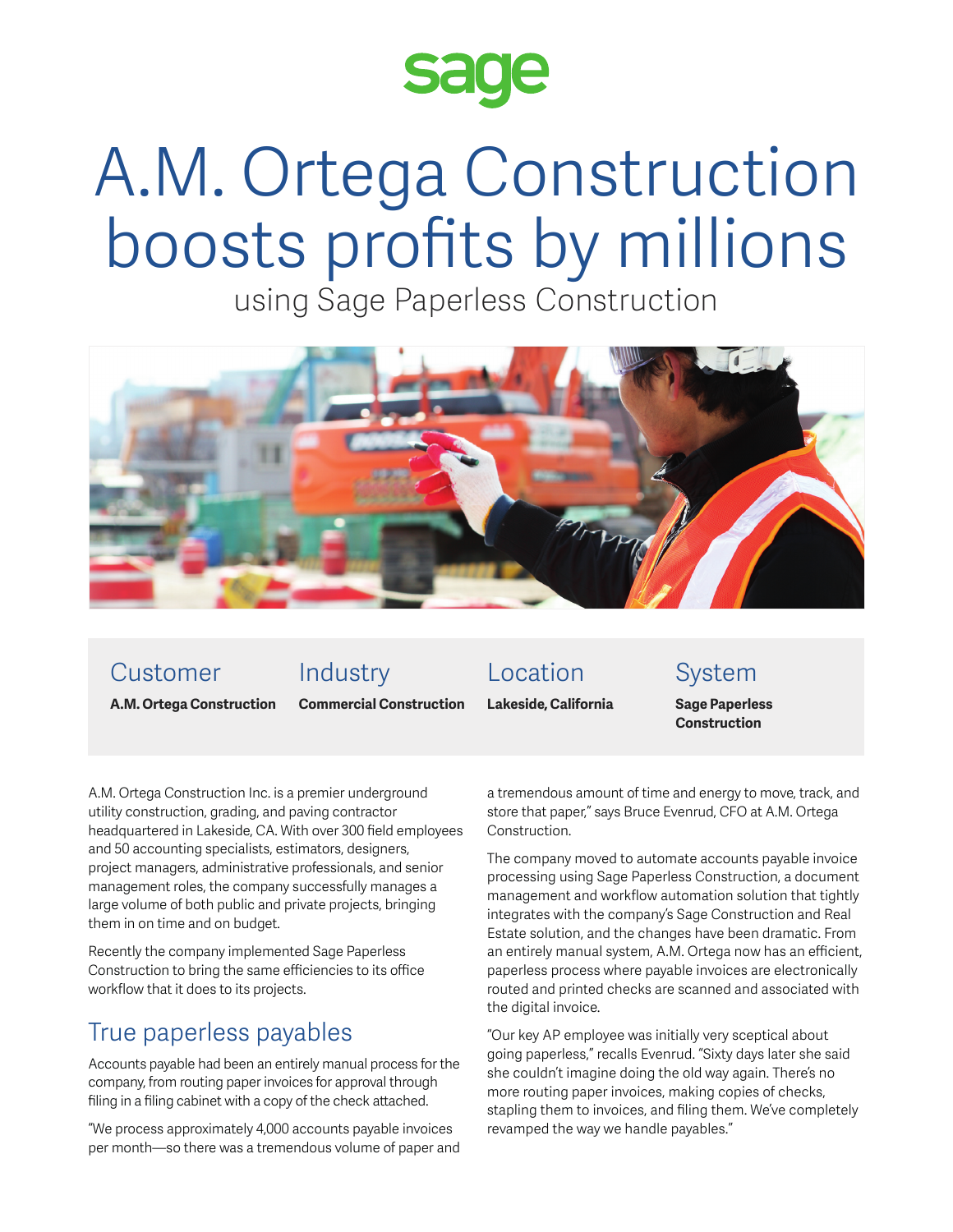

# A.M. Ortega Construction boosts profits by millions

using Sage Paperless Construction



#### Customer

# Industry

**A.M. Ortega Construction** 

**Commercial Construction**

Location **Lakeside, California**

### System

**Sage Paperless Construction**

A.M. Ortega Construction Inc. is a premier underground utility construction, grading, and paving contractor headquartered in Lakeside, CA. With over 300 field employees and 50 accounting specialists, estimators, designers, project managers, administrative professionals, and senior management roles, the company successfully manages a large volume of both public and private projects, bringing them in on time and on budget.

Recently the company implemented Sage Paperless Construction to bring the same efficiencies to its office workflow that it does to its projects.

# True paperless payables

Accounts payable had been an entirely manual process for the company, from routing paper invoices for approval through filing in a filing cabinet with a copy of the check attached.

"We process approximately 4,000 accounts payable invoices per month—so there was a tremendous volume of paper and a tremendous amount of time and energy to move, track, and store that paper," says Bruce Evenrud, CFO at A.M. Ortega Construction.

The company moved to automate accounts payable invoice processing using Sage Paperless Construction, a document management and workflow automation solution that tightly integrates with the company's Sage Construction and Real Estate solution, and the changes have been dramatic. From an entirely manual system, A.M. Ortega now has an efficient, paperless process where payable invoices are electronically routed and printed checks are scanned and associated with the digital invoice.

"Our key AP employee was initially very sceptical about going paperless," recalls Evenrud. "Sixty days later she said she couldn't imagine doing the old way again. There's no more routing paper invoices, making copies of checks, stapling them to invoices, and filing them. We've completely revamped the way we handle payables."